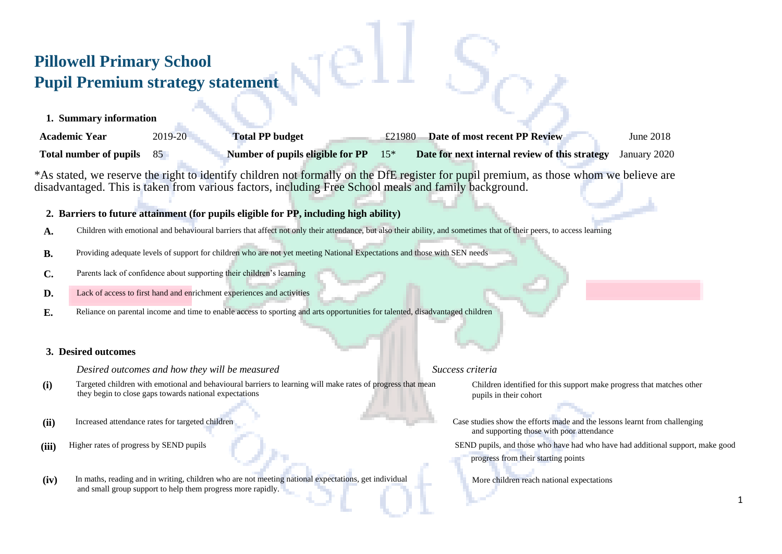## **Pillowell Primary School Pupil Premium strategy statement**

**1. Summary information**

| <b>Academic Year</b>          | 2019-20 | <b>Total PP budget</b>                 | £21980 | Date of most recent PP Review                  | June 2018    |
|-------------------------------|---------|----------------------------------------|--------|------------------------------------------------|--------------|
| <b>Total number of pupils</b> |         | Number of pupils eligible for $PP$ 15* |        | Date for next internal review of this strategy | January 2020 |

\*As stated, we reserve the right to identify children not formally on the DfE register for pupil premium, as those whom we believe are disadvantaged. This is taken from various factors, including Free School meals and family background.

### **2. Barriers to future attainment (for pupils eligible for PP, including high ability)**

- A. Children with emotional and behavioural barriers that affect not only their attendance, but also their ability, and sometimes that of their peers, to access learning
- **B.** Providing adequate levels of support for children who are not yet meeting National Expectations and those with SEN needs
- **C.** Parents lack of confidence about supporting their children's learning
- **D.** Lack of access to first hand and enrichment experiences and activities
- **E.** Reliance on parental income and time to enable access to sporting and arts opportunities for talented, disadvantaged children

### **3. Desired outcomes**

*Desired outcomes and how they will be measured* **Success criteria Success criteria** 

- **(i)** Targeted children with emotional and behavioural barriers to learning will make rates of progress that mean they begin to close gaps towards national expectations
- 
- 
- **(iv)** In maths, reading and in writing, children who are not meeting national expectations, get individual and small group support to help them progress more rapidly.

Children identified for this support make progress that matches other pupils in their cohort

- (ii) Increased attendance rates for targeted children Case studies show the efforts made and the lessons learnt from challenging and supporting those with poor attendance
- **(iii)** Higher rates of progress by SEND pupils SEND pupils SEND pupils, and those who have had who have had additional support, make good progress from their starting points
	- More children reach national expectations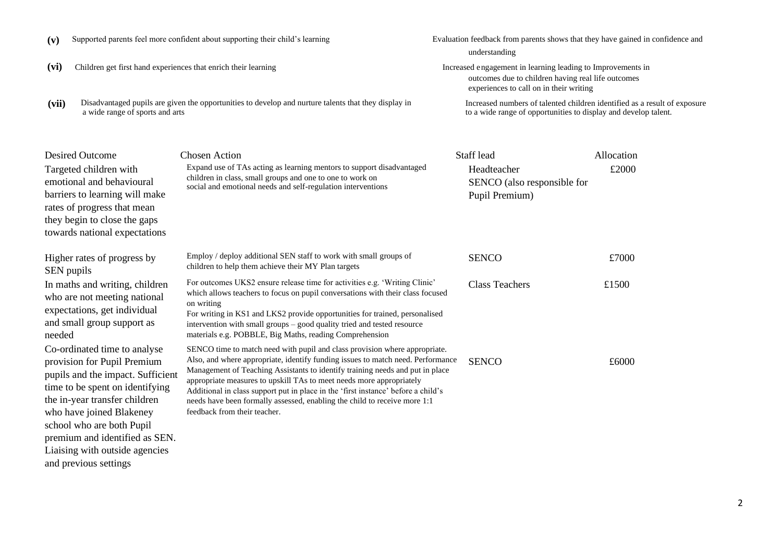| (vii)      | a wide range of sports and arts                                                                                                                                                                          | Disadvantaged pupils are given the opportunities to develop and nurture talents that they display in                                                                                                                                                                                                                                                                                            | Increased numbers of talented children identified as<br>to a wide range of opportunities to display and deve |                     |
|------------|----------------------------------------------------------------------------------------------------------------------------------------------------------------------------------------------------------|-------------------------------------------------------------------------------------------------------------------------------------------------------------------------------------------------------------------------------------------------------------------------------------------------------------------------------------------------------------------------------------------------|--------------------------------------------------------------------------------------------------------------|---------------------|
|            | Desired Outcome<br>Targeted children with<br>emotional and behavioural<br>barriers to learning will make<br>rates of progress that mean<br>they begin to close the gaps<br>towards national expectations | <b>Chosen Action</b><br>Expand use of TAs acting as learning mentors to support disadvantaged<br>children in class, small groups and one to one to work on<br>social and emotional needs and self-regulation interventions                                                                                                                                                                      | Staff lead<br>Headteacher<br>SENCO (also responsible for<br>Pupil Premium)                                   | Allocation<br>£2000 |
| SEN pupils | Higher rates of progress by                                                                                                                                                                              | Employ / deploy additional SEN staff to work with small groups of<br>children to help them achieve their MY Plan targets                                                                                                                                                                                                                                                                        | <b>SENCO</b>                                                                                                 | £7000               |
| needed     | In maths and writing, children<br>who are not meeting national<br>expectations, get individual<br>and small group support as                                                                             | For outcomes UKS2 ensure release time for activities e.g. 'Writing Clinic'<br>which allows teachers to focus on pupil conversations with their class focused<br>on writing<br>For writing in KS1 and LKS2 provide opportunities for trained, personalised<br>intervention with small groups – good quality tried and tested resource<br>materials e.g. POBBLE, Big Maths, reading Comprehension | <b>Class Teachers</b>                                                                                        | £1500               |

Co-ordinated time to analyse provision for Pupil Premium pupils and the impact. Sufficient time to be spent on identifying the in-year transfer children who have joined Blakeney school who are both Pupil premium and identified as SEN. Liaising with outside agencies and previous settings

**(v)** Supported parents feel more confident about supporting their child's learning Evaluation feedback from parents shows that they have gained in confidence and

- 
- **(vii)** Disadvantaged pupils are given the opportunities to develop and nurture talents that they display in

feedback from their teacher.

# understanding

(vi) Children get first hand experiences that enrich their learning Increased engagement in learning leading to Improvements in outcomes due to children having real life outcomes experiences to call on in their writing

> mbers of talented children identified as a result of exposure age of opportunities to display and develop talent.

| Expand use of TAs acting as learning mentors to support disadvantaged<br>children in class, small groups and one to one to work on<br>social and emotional needs and self-regulation interventions                                                                                                                                                                                                                                                                                       | Headteacher<br>SENCO (also responsible for<br>Pupil Premium) | £2000 |
|------------------------------------------------------------------------------------------------------------------------------------------------------------------------------------------------------------------------------------------------------------------------------------------------------------------------------------------------------------------------------------------------------------------------------------------------------------------------------------------|--------------------------------------------------------------|-------|
| Employ / deploy additional SEN staff to work with small groups of<br>children to help them achieve their MY Plan targets                                                                                                                                                                                                                                                                                                                                                                 | <b>SENCO</b>                                                 | £7000 |
| For outcomes UKS2 ensure release time for activities e.g. 'Writing Clinic'<br>which allows teachers to focus on pupil conversations with their class focused<br>on writing<br>For writing in KS1 and LKS2 provide opportunities for trained, personalised<br>intervention with small groups – good quality tried and tested resource<br>materials e.g. POBBLE, Big Maths, reading Comprehension                                                                                          | Class Teachers                                               | £1500 |
| SENCO time to match need with pupil and class provision where appropriate.<br>Also, and where appropriate, identify funding issues to match need. Performance<br>Management of Teaching Assistants to identify training needs and put in place<br>appropriate measures to upskill TAs to meet needs more appropriately<br>Additional in class support put in place in the 'first instance' before a child's<br>needs have been formally assessed, enabling the child to receive more 1:1 | <b>SENCO</b>                                                 | £6000 |